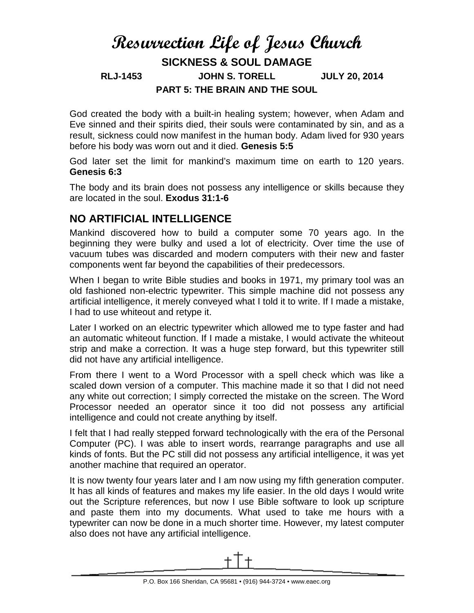# **Resurrection Life of Jesus Church SICKNESS & SOUL DAMAGE RLJ-1453 JOHN S. TORELL JULY 20, 2014 PART 5: THE BRAIN AND THE SOUL**

God created the body with a built-in healing system; however, when Adam and Eve sinned and their spirits died, their souls were contaminated by sin, and as a result, sickness could now manifest in the human body. Adam lived for 930 years before his body was worn out and it died. **Genesis 5:5**

God later set the limit for mankind's maximum time on earth to 120 years. **Genesis 6:3**

The body and its brain does not possess any intelligence or skills because they are located in the soul. **Exodus 31:1-6**

### **NO ARTIFICIAL INTELLIGENCE**

Mankind discovered how to build a computer some 70 years ago. In the beginning they were bulky and used a lot of electricity. Over time the use of vacuum tubes was discarded and modern computers with their new and faster components went far beyond the capabilities of their predecessors.

When I began to write Bible studies and books in 1971, my primary tool was an old fashioned non-electric typewriter. This simple machine did not possess any artificial intelligence, it merely conveyed what I told it to write. If I made a mistake, I had to use whiteout and retype it.

Later I worked on an electric typewriter which allowed me to type faster and had an automatic whiteout function. If I made a mistake, I would activate the whiteout strip and make a correction. It was a huge step forward, but this typewriter still did not have any artificial intelligence.

From there I went to a Word Processor with a spell check which was like a scaled down version of a computer. This machine made it so that I did not need any white out correction; I simply corrected the mistake on the screen. The Word Processor needed an operator since it too did not possess any artificial intelligence and could not create anything by itself.

I felt that I had really stepped forward technologically with the era of the Personal Computer (PC). I was able to insert words, rearrange paragraphs and use all kinds of fonts. But the PC still did not possess any artificial intelligence, it was yet another machine that required an operator.

It is now twenty four years later and I am now using my fifth generation computer. It has all kinds of features and makes my life easier. In the old days I would write out the Scripture references, but now I use Bible software to look up scripture and paste them into my documents. What used to take me hours with a typewriter can now be done in a much shorter time. However, my latest computer also does not have any artificial intelligence.

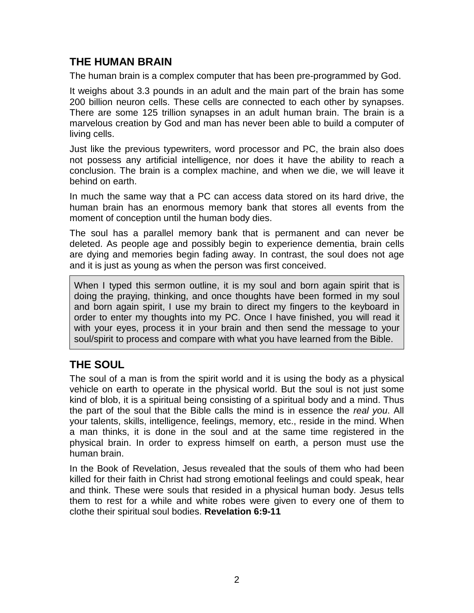## **THE HUMAN BRAIN**

The human brain is a complex computer that has been pre-programmed by God.

It weighs about 3.3 pounds in an adult and the main part of the brain has some 200 billion neuron cells. These cells are connected to each other by synapses. There are some 125 trillion synapses in an adult human brain. The brain is a marvelous creation by God and man has never been able to build a computer of living cells.

Just like the previous typewriters, word processor and PC, the brain also does not possess any artificial intelligence, nor does it have the ability to reach a conclusion. The brain is a complex machine, and when we die, we will leave it behind on earth.

In much the same way that a PC can access data stored on its hard drive, the human brain has an enormous memory bank that stores all events from the moment of conception until the human body dies.

The soul has a parallel memory bank that is permanent and can never be deleted. As people age and possibly begin to experience dementia, brain cells are dying and memories begin fading away. In contrast, the soul does not age and it is just as young as when the person was first conceived.

When I typed this sermon outline, it is my soul and born again spirit that is doing the praying, thinking, and once thoughts have been formed in my soul and born again spirit, I use my brain to direct my fingers to the keyboard in order to enter my thoughts into my PC. Once I have finished, you will read it with your eyes, process it in your brain and then send the message to your soul/spirit to process and compare with what you have learned from the Bible.

# **THE SOUL**

The soul of a man is from the spirit world and it is using the body as a physical vehicle on earth to operate in the physical world. But the soul is not just some kind of blob, it is a spiritual being consisting of a spiritual body and a mind. Thus the part of the soul that the Bible calls the mind is in essence the *real you*. All your talents, skills, intelligence, feelings, memory, etc., reside in the mind. When a man thinks, it is done in the soul and at the same time registered in the physical brain. In order to express himself on earth, a person must use the human brain.

In the Book of Revelation, Jesus revealed that the souls of them who had been killed for their faith in Christ had strong emotional feelings and could speak, hear and think. These were souls that resided in a physical human body. Jesus tells them to rest for a while and white robes were given to every one of them to clothe their spiritual soul bodies. **Revelation 6:9-11**